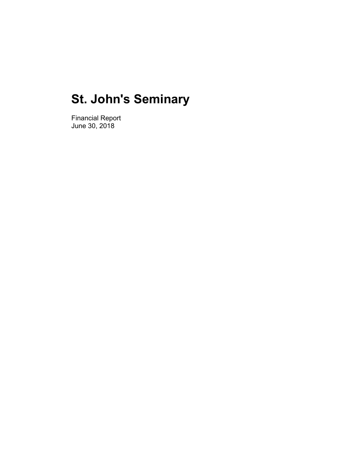Financial Report June 30, 2018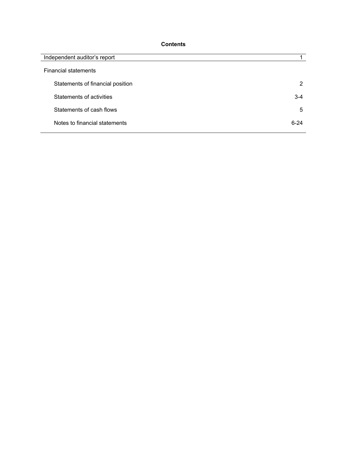# **Contents**

| Independent auditor's report     |         |
|----------------------------------|---------|
| <b>Financial statements</b>      |         |
| Statements of financial position | 2       |
| Statements of activities         | $3 - 4$ |
| Statements of cash flows         | 5       |
| Notes to financial statements    | $6-24$  |
|                                  |         |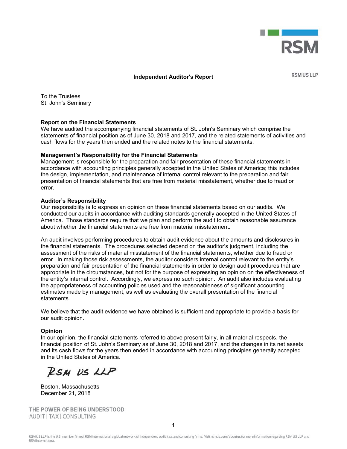

#### **Independent Auditor's Report**

**RSM US LLP** 

To the Trustees St. John's Seminary

#### **Report on the Financial Statements**

We have audited the accompanying financial statements of St. John's Seminary which comprise the statements of financial position as of June 30, 2018 and 2017, and the related statements of activities and cash flows for the years then ended and the related notes to the financial statements.

#### **Management's Responsibility for the Financial Statements**

Management is responsible for the preparation and fair presentation of these financial statements in accordance with accounting principles generally accepted in the United States of America; this includes the design, implementation, and maintenance of internal control relevant to the preparation and fair presentation of financial statements that are free from material misstatement, whether due to fraud or error.

#### **Auditor's Responsibility**

Our responsibility is to express an opinion on these financial statements based on our audits. We conducted our audits in accordance with auditing standards generally accepted in the United States of America. Those standards require that we plan and perform the audit to obtain reasonable assurance about whether the financial statements are free from material misstatement.

An audit involves performing procedures to obtain audit evidence about the amounts and disclosures in the financial statements. The procedures selected depend on the auditor's judgment, including the assessment of the risks of material misstatement of the financial statements, whether due to fraud or error. In making those risk assessments, the auditor considers internal control relevant to the entity's preparation and fair presentation of the financial statements in order to design audit procedures that are appropriate in the circumstances, but not for the purpose of expressing an opinion on the effectiveness of the entity's internal control. Accordingly, we express no such opinion. An audit also includes evaluating the appropriateness of accounting policies used and the reasonableness of significant accounting estimates made by management, as well as evaluating the overall presentation of the financial statements.

We believe that the audit evidence we have obtained is sufficient and appropriate to provide a basis for our audit opinion.

#### **Opinion**

In our opinion, the financial statements referred to above present fairly, in all material respects, the financial position of St. John's Seminary as of June 30, 2018 and 2017, and the changes in its net assets and its cash flows for the years then ended in accordance with accounting principles generally accepted in the United States of America.

RSM US LLP

Boston, Massachusetts December 21, 2018

THE POWER OF BEING UNDERSTOOD AUDIT | TAX | CONSULTING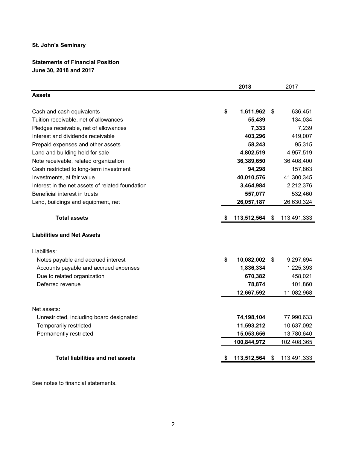# **Statements of Financial Position June 30, 2018 and 2017**

|                                                  |    | 2018        | 2017                      |
|--------------------------------------------------|----|-------------|---------------------------|
| <b>Assets</b>                                    |    |             |                           |
| Cash and cash equivalents                        | \$ | 1,611,962   | \$<br>636,451             |
| Tuition receivable, net of allowances            |    | 55,439      | 134,034                   |
| Pledges receivable, net of allowances            |    | 7,333       | 7,239                     |
| Interest and dividends receivable                |    | 403,296     | 419,007                   |
| Prepaid expenses and other assets                |    | 58,243      | 95,315                    |
| Land and building held for sale                  |    | 4,802,519   | 4,957,519                 |
| Note receivable, related organization            |    | 36,389,650  | 36,408,400                |
| Cash restricted to long-term investment          |    | 94,298      | 157,863                   |
| Investments, at fair value                       |    | 40,010,576  | 41,300,345                |
| Interest in the net assets of related foundation |    | 3,464,984   | 2,212,376                 |
| Beneficial interest in trusts                    |    | 557,077     | 532,460                   |
| Land, buildings and equipment, net               |    | 26,057,187  | 26,630,324                |
| <b>Total assets</b>                              | S  | 113,512,564 | \$<br>113,491,333         |
| <b>Liabilities and Net Assets</b>                |    |             |                           |
| Liabilities:                                     |    |             |                           |
| Notes payable and accrued interest               | \$ | 10,082,002  | \$<br>9,297,694           |
| Accounts payable and accrued expenses            |    | 1,836,334   | 1,225,393                 |
| Due to related organization                      |    | 670,382     | 458,021                   |
| Deferred revenue                                 |    | 78,874      | 101,860                   |
|                                                  |    | 12,667,592  | 11,082,968                |
| Net assets:                                      |    |             |                           |
| Unrestricted, including board designated         |    | 74,198,104  | 77,990,633                |
|                                                  |    | 11,593,212  |                           |
| Temporarily restricted                           |    | 15,053,656  | 10,637,092                |
| Permanently restricted                           |    | 100,844,972 | 13,780,640<br>102,408,365 |
|                                                  |    |             |                           |
| <b>Total liabilities and net assets</b>          |    | 113,512,564 | \$<br>113,491,333         |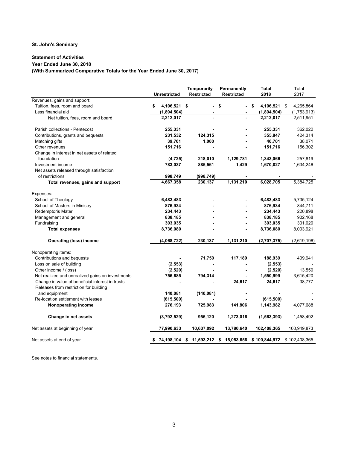# **Statement of Activities**

**Year Ended June 30, 2018**

**(With Summarized Comparative Totals for the Year Ended June 30, 2017)**

|                                                  |    |                     | <b>Temporarily</b> |                   | Permanently                                                          | Total              |  | Total       |
|--------------------------------------------------|----|---------------------|--------------------|-------------------|----------------------------------------------------------------------|--------------------|--|-------------|
|                                                  |    | <b>Unrestricted</b> |                    | <b>Restricted</b> | <b>Restricted</b>                                                    | 2018               |  | 2017        |
| Revenues, gains and support:                     |    |                     |                    |                   |                                                                      |                    |  |             |
| Tuition, fees, room and board                    | \$ | 4,106,521 \$        |                    |                   | \$                                                                   | \$<br>4,106,521 \$ |  | 4,265,864   |
| Less financial aid                               |    | (1,894,504)         |                    |                   |                                                                      | (1,894,504)        |  | (1,753,913) |
| Net tuition, fees, room and board                |    | 2,212,017           |                    |                   |                                                                      | 2,212,017          |  | 2,511,951   |
| Parish collections - Pentecost                   |    | 255,331             |                    |                   |                                                                      | 255,331            |  | 362,022     |
| Contributions, grants and bequests               |    | 231,532             |                    | 124,315           |                                                                      | 355,847            |  | 424,314     |
| Matching gifts                                   |    | 39,701              |                    | 1,000             |                                                                      | 40,701             |  | 38,071      |
| Other revenues                                   |    | 151,716             |                    |                   |                                                                      | 151,716            |  | 156,302     |
| Change in interest in net assets of related      |    |                     |                    |                   |                                                                      |                    |  |             |
| foundation                                       |    | (4, 725)            |                    | 218,010           | 1,129,781                                                            | 1,343,066          |  | 257,819     |
| Investment income                                |    | 783,037             |                    | 885,561           | 1,429                                                                | 1,670,027          |  | 1,634,246   |
| Net assets released through satisfaction         |    |                     |                    |                   |                                                                      |                    |  |             |
| of restrictions                                  |    | 998,749             |                    | (998, 749)        |                                                                      |                    |  |             |
| Total revenues, gains and support                |    | 4,667,358           |                    | 230,137           | 1,131,210                                                            | 6,028,705          |  | 5,384,725   |
| Expenses:                                        |    |                     |                    |                   |                                                                      |                    |  |             |
| School of Theology                               |    | 6,483,483           |                    |                   |                                                                      | 6,483,483          |  | 5,735,124   |
| School of Masters in Ministry                    |    | 876,934             |                    |                   |                                                                      | 876,934            |  | 844,711     |
| <b>Redemptoris Mater</b>                         |    | 234,443             |                    |                   |                                                                      | 234,443            |  | 220,898     |
| Management and general                           |    | 838,185             |                    |                   |                                                                      | 838,185            |  | 902,168     |
| Fundraising                                      |    | 303,035             |                    |                   |                                                                      | 303,035            |  | 301,020     |
| <b>Total expenses</b>                            |    | 8,736,080           |                    | $\blacksquare$    |                                                                      | 8,736,080          |  | 8,003,921   |
| <b>Operating (loss) income</b>                   |    | (4,068,722)         |                    | 230,137           | 1,131,210                                                            | (2,707,375)        |  | (2,619,196) |
| Nonoperating items:                              |    |                     |                    |                   |                                                                      |                    |  |             |
| Contributions and bequests                       |    |                     |                    | 71,750            | 117,189                                                              | 188,939            |  | 409,941     |
| Loss on sale of building                         |    | (2, 553)            |                    |                   |                                                                      | (2, 553)           |  |             |
| Other income / (loss)                            |    | (2,520)             |                    |                   |                                                                      | (2,520)            |  | 13,550      |
| Net realized and unrealized gains on investments |    | 756,685             |                    | 794,314           |                                                                      | 1,550,999          |  | 3,615,420   |
| Change in value of beneficial interest in trusts |    |                     |                    |                   | 24,617                                                               | 24,617             |  | 38,777      |
| Releases from restriction for building           |    |                     |                    |                   |                                                                      |                    |  |             |
| and equipment                                    |    | 140,081             |                    | (140, 081)        |                                                                      |                    |  |             |
| Re-location settlement with lessee               |    | (615, 500)          |                    |                   |                                                                      | (615, 500)         |  |             |
| Nonoperating income                              |    | 276,193             |                    | 725,983           | 141,806                                                              | 1,143,982          |  | 4,077,688   |
| Change in net assets                             |    | (3,792,529)         |                    | 956,120           | 1,273,016                                                            | (1, 563, 393)      |  | 1,458,492   |
| Net assets at beginning of year                  |    | 77,990,633          |                    | 10,637,092        | 13,780,640                                                           | 102,408,365        |  | 100,949,873 |
| Net assets at end of year                        | S  |                     |                    |                   | 74,198,104 \$ 11,593,212 \$ 15,053,656 \$ 100,844,972 \$ 102,408,365 |                    |  |             |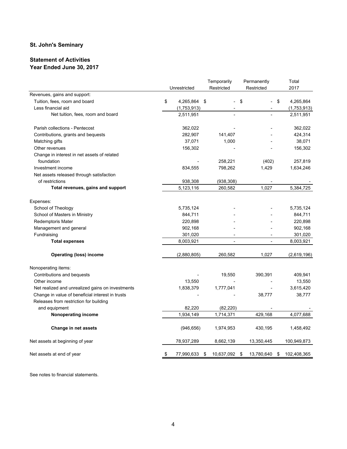# **Statement of Activities**

**Year Ended June 30, 2017**

|                                                  |                    | Temporarily          | Permanently | Total             |
|--------------------------------------------------|--------------------|----------------------|-------------|-------------------|
|                                                  | Unrestricted       | Restricted           | Restricted  | 2017              |
| Revenues, gains and support:                     |                    |                      |             |                   |
| Tuition, fees, room and board                    | \$<br>4,265,864 \$ |                      | \$          | \$<br>4,265,864   |
| Less financial aid                               | (1,753,913)        |                      |             | (1,753,913)       |
| Net tuition, fees, room and board                | 2,511,951          |                      |             | 2,511,951         |
| Parish collections - Pentecost                   | 362,022            |                      |             | 362,022           |
| Contributions, grants and bequests               | 282,907            | 141,407              |             | 424,314           |
| Matching gifts                                   | 37,071             | 1,000                |             | 38,071            |
| Other revenues                                   | 156,302            |                      |             | 156,302           |
| Change in interest in net assets of related      |                    |                      |             |                   |
| foundation                                       |                    | 258,221              | (402)       | 257,819           |
| Investment income                                | 834,555            | 798,262              | 1,429       | 1,634,246         |
| Net assets released through satisfaction         |                    |                      |             |                   |
| of restrictions                                  | 938,308            | (938, 308)           |             |                   |
| Total revenues, gains and support                | 5,123,116          | 260,582              | 1,027       | 5,384,725         |
| Expenses:                                        |                    |                      |             |                   |
| School of Theology                               | 5,735,124          |                      |             | 5,735,124         |
| School of Masters in Ministry                    | 844,711            |                      |             | 844,711           |
| Redemptoris Mater                                | 220,898            |                      |             | 220,898           |
| Management and general                           | 902,168            |                      |             | 902,168           |
| Fundraising                                      | 301,020            |                      |             | 301,020           |
| <b>Total expenses</b>                            | 8,003,921          | $\blacksquare$       | L,          | 8,003,921         |
| <b>Operating (loss) income</b>                   | (2,880,805)        | 260,582              | 1,027       | (2,619,196)       |
| Nonoperating items:                              |                    |                      |             |                   |
| Contributions and bequests                       |                    | 19,550               | 390,391     | 409,941           |
| Other income                                     | 13,550             |                      |             | 13,550            |
| Net realized and unrealized gains on investments | 1,838,379          | 1,777,041            |             | 3,615,420         |
| Change in value of beneficial interest in trusts |                    |                      | 38,777      | 38,777            |
| Releases from restriction for building           |                    |                      |             |                   |
| and equipment                                    | 82,220             | (82, 220)            |             |                   |
| Nonoperating income                              | 1,934,149          | 1,714,371            | 429,168     | 4,077,688         |
| Change in net assets                             | (946, 656)         | 1,974,953            | 430,195     | 1,458,492         |
| Net assets at beginning of year                  | 78,937,289         | 8,662,139            | 13,350,445  | 100,949,873       |
| Net assets at end of year                        | \$<br>77,990,633   | 10,637,092 \$<br>-\$ | 13,780,640  | 102,408,365<br>\$ |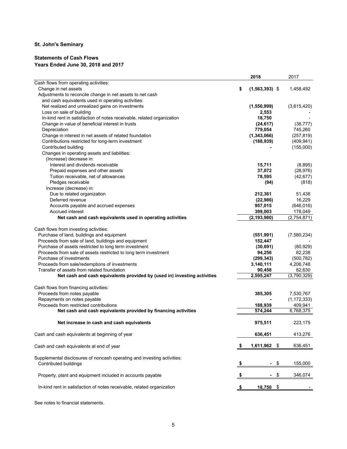# **Statements of Cash Flows Years Ended June 30, 2018 and 2017**

|                                                                          | 2018                   | 2017          |
|--------------------------------------------------------------------------|------------------------|---------------|
| Cash flows from operating activities:                                    |                        |               |
| Change in net assets                                                     | \$<br>$(1,563,393)$ \$ | 1,458,492     |
| Adjustments to reconcile change in net assets to net cash                |                        |               |
| and cash equivalents used in operating activities:                       |                        |               |
| Net realized and unrealized gains on investments                         | (1,550,999)            | (3,615,420)   |
| Loss on sale of building                                                 | 2,553                  |               |
| In-kind rent in satisfaction of notes receivable, related organization   | 18,750                 |               |
| Change in value of beneficial interest in trusts                         | (24, 617)              | (38, 777)     |
| Depreciation                                                             | 779,054                | 745,260       |
| Change in interest in net assets of related foundation                   | (1,343,066)            | (257, 819)    |
| Contributions restricted for long-term investment                        | (188, 939)             | (409, 941)    |
| Contributed building                                                     |                        | (155,000)     |
| Changes in operating assets and liabilities:                             |                        |               |
| (Increase) decrease in:                                                  |                        |               |
| Interest and dividends receivable                                        | 15,711                 | (8,895)       |
| Prepaid expenses and other assets                                        | 37,072                 | (28, 976)     |
| Tuition receivable, net of allowances                                    | 78,595                 | (42, 677)     |
| Pledges receivable                                                       | (94)                   | (818)         |
| Increase (decrease) in:                                                  |                        |               |
| Due to related organization                                              | 212,361                | 51,438        |
| Deferred revenue                                                         | (22, 986)              | 16,229        |
| Accounts payable and accrued expenses                                    | 957,015                | (646, 016)    |
| <b>Accrued interest</b>                                                  | 399,003                | 178,049       |
| Net cash and cash equivalents used in operating activities               | (2, 193, 980)          | (2,754,871)   |
| Cash flows from investing activities:                                    |                        |               |
| Purchase of land, buildings and equipment                                | (551, 991)             | (7,580,234)   |
| Proceeds from sale of land, buildings and equipment                      | 152,447                |               |
| Purchase of assets restricted to long term investment                    | (30, 691)              | (80, 929)     |
| Proceeds from sale of assets restricted to long term investment          | 94,256                 | 82,238        |
| Purchase of investments                                                  | (299, 343)             | (500, 782)    |
| Proceeds from sale/redemptions of investments                            | 3,140,111              | 4,206,748     |
| Transfer of assets from related foundation                               | 90,458                 | 82,630        |
| Net cash and cash equivalents provided by (used in) investing activities | 2,595,247              | (3,790,329)   |
|                                                                          |                        |               |
| Cash flows from financing activities:                                    |                        |               |
| Proceeds from notes payable                                              | 385,305                | 7,530,767     |
| Repayments on notes payable                                              |                        | (1, 172, 333) |
| Proceeds from restricted contributions                                   | 188,939                | 409,941       |
| Net cash and cash equivalents provided by financing activities           | 574,244                | 6,768,375     |
| Net increase in cash and cash equivalents                                | 975,511                | 223.175       |
| Cash and cash equivalents at beginning of year                           | 636,451                | 413,276       |
| Cash and cash equivalents at end of year                                 | 1,611,962<br>\$        | 636,451       |
|                                                                          |                        |               |
| Supplemental disclosures of noncash operating and investing activities:  |                        |               |
| Contributed buildings                                                    | \$<br>٠                | 155,000       |
| Property, plant and equipment included in accounts payable               | \$<br>۰                | 346,074       |
| In-kind rent in satisfaction of notes receivable, related organization   | \$<br>18,750<br>\$     |               |
|                                                                          |                        |               |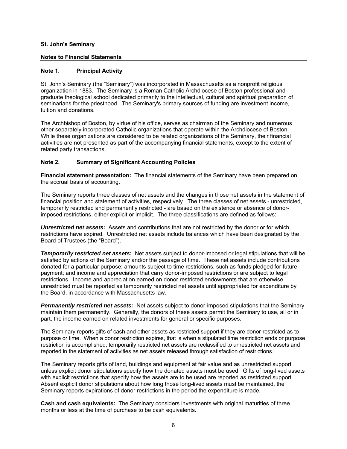#### **Notes to Financial Statements**

## **Note 1. Principal Activity**

St. John's Seminary (the "Seminary") was incorporated in Massachusetts as a nonprofit religious organization in 1883. The Seminary is a Roman Catholic Archdiocese of Boston professional and graduate theological school dedicated primarily to the intellectual, cultural and spiritual preparation of seminarians for the priesthood. The Seminary's primary sources of funding are investment income, tuition and donations.

The Archbishop of Boston, by virtue of his office, serves as chairman of the Seminary and numerous other separately incorporated Catholic organizations that operate within the Archdiocese of Boston. While these organizations are considered to be related organizations of the Seminary, their financial activities are not presented as part of the accompanying financial statements, except to the extent of related party transactions.

# **Note 2. Summary of Significant Accounting Policies**

**Financial statement presentation:** The financial statements of the Seminary have been prepared on the accrual basis of accounting.

The Seminary reports three classes of net assets and the changes in those net assets in the statement of financial position and statement of activities, respectively. The three classes of net assets - unrestricted, temporarily restricted and permanently restricted - are based on the existence or absence of donorimposed restrictions, either explicit or implicit. The three classifications are defined as follows:

*Unrestricted net assets:* Assets and contributions that are not restricted by the donor or for which restrictions have expired. Unrestricted net assets include balances which have been designated by the Board of Trustees (the "Board").

*Temporarily restricted net assets***:** Net assets subject to donor-imposed or legal stipulations that will be satisfied by actions of the Seminary and/or the passage of time. These net assets include contributions donated for a particular purpose; amounts subject to time restrictions, such as funds pledged for future payment; and income and appreciation that carry donor-imposed restrictions or are subject to legal restrictions. Income and appreciation earned on donor restricted endowments that are otherwise unrestricted must be reported as temporarily restricted net assets until appropriated for expenditure by the Board, in accordance with Massachusetts law.

*Permanently restricted net assets:* Net assets subject to donor-imposed stipulations that the Seminary maintain them permanently. Generally, the donors of these assets permit the Seminary to use, all or in part, the income earned on related investments for general or specific purposes.

The Seminary reports gifts of cash and other assets as restricted support if they are donor-restricted as to purpose or time. When a donor restriction expires, that is when a stipulated time restriction ends or purpose restriction is accomplished, temporarily restricted net assets are reclassified to unrestricted net assets and reported in the statement of activities as net assets released through satisfaction of restrictions.

The Seminary reports gifts of land, buildings and equipment at fair value and as unrestricted support unless explicit donor stipulations specify how the donated assets must be used. Gifts of long-lived assets with explicit restrictions that specify how the assets are to be used are reported as restricted support. Absent explicit donor stipulations about how long those long-lived assets must be maintained, the Seminary reports expirations of donor restrictions in the period the expenditure is made.

**Cash and cash equivalents:** The Seminary considers investments with original maturities of three months or less at the time of purchase to be cash equivalents.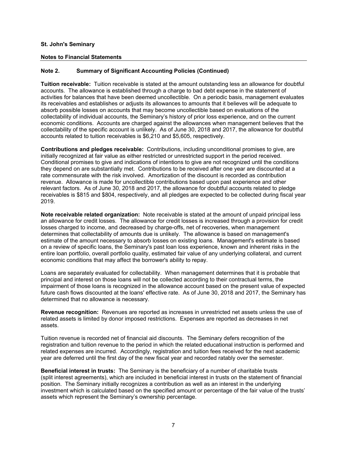#### **Notes to Financial Statements**

## **Note 2. Summary of Significant Accounting Policies (Continued)**

**Tuition receivable:** Tuition receivable is stated at the amount outstanding less an allowance for doubtful accounts. The allowance is established through a charge to bad debt expense in the statement of activities for balances that have been deemed uncollectible. On a periodic basis, management evaluates its receivables and establishes or adjusts its allowances to amounts that it believes will be adequate to absorb possible losses on accounts that may become uncollectible based on evaluations of the collectability of individual accounts, the Seminary's history of prior loss experience, and on the current economic conditions. Accounts are charged against the allowances when management believes that the collectability of the specific account is unlikely. As of June 30, 2018 and 2017, the allowance for doubtful accounts related to tuition receivables is \$6,210 and \$5,605, respectively.

**Contributions and pledges receivable:** Contributions, including unconditional promises to give, are initially recognized at fair value as either restricted or unrestricted support in the period received. Conditional promises to give and indications of intentions to give are not recognized until the conditions they depend on are substantially met. Contributions to be received after one year are discounted at a rate commensurate with the risk involved. Amortization of the discount is recorded as contribution revenue. Allowance is made for uncollectible contributions based upon past experience and other relevant factors. As of June 30, 2018 and 2017, the allowance for doubtful accounts related to pledge receivables is \$815 and \$804, respectively, and all pledges are expected to be collected during fiscal year 2019.

**Note receivable related organization:** Note receivable is stated at the amount of unpaid principal less an allowance for credit losses. The allowance for credit losses is increased through a provision for credit losses charged to income, and decreased by charge-offs, net of recoveries, when management determines that collectability of amounts due is unlikely. The allowance is based on management's estimate of the amount necessary to absorb losses on existing loans. Management's estimate is based on a review of specific loans, the Seminary's past loan loss experience, known and inherent risks in the entire loan portfolio, overall portfolio quality, estimated fair value of any underlying collateral, and current economic conditions that may affect the borrower's ability to repay.

Loans are separately evaluated for collectability. When management determines that it is probable that principal and interest on those loans will not be collected according to their contractual terms, the impairment of those loans is recognized in the allowance account based on the present value of expected future cash flows discounted at the loans' effective rate. As of June 30, 2018 and 2017, the Seminary has determined that no allowance is necessary.

**Revenue recognition:** Revenues are reported as increases in unrestricted net assets unless the use of related assets is limited by donor imposed restrictions. Expenses are reported as decreases in net assets.

Tuition revenue is recorded net of financial aid discounts. The Seminary defers recognition of the registration and tuition revenue to the period in which the related educational instruction is performed and related expenses are incurred. Accordingly, registration and tuition fees received for the next academic year are deferred until the first day of the new fiscal year and recorded ratably over the semester.

**Beneficial interest in trusts:** The Seminary is the beneficiary of a number of charitable trusts (split interest agreements), which are included in beneficial interest in trusts on the statement of financial position. The Seminary initially recognizes a contribution as well as an interest in the underlying investment which is calculated based on the specified amount or percentage of the fair value of the trusts' assets which represent the Seminary's ownership percentage.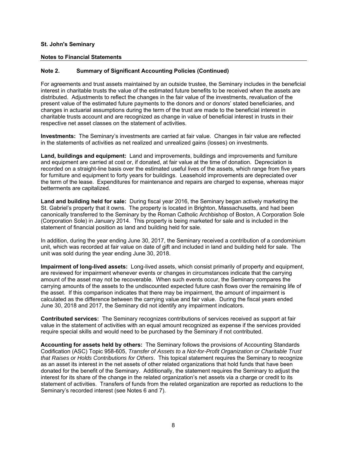#### **Notes to Financial Statements**

# **Note 2. Summary of Significant Accounting Policies (Continued)**

For agreements and trust assets maintained by an outside trustee, the Seminary includes in the beneficial interest in charitable trusts the value of the estimated future benefits to be received when the assets are distributed. Adjustments to reflect the changes in the fair value of the investments, revaluation of the present value of the estimated future payments to the donors and or donors' stated beneficiaries, and changes in actuarial assumptions during the term of the trust are made to the beneficial interest in charitable trusts account and are recognized as change in value of beneficial interest in trusts in their respective net asset classes on the statement of activities.

**Investments:** The Seminary's investments are carried at fair value. Changes in fair value are reflected in the statements of activities as net realized and unrealized gains (losses) on investments.

**Land, buildings and equipment:** Land and improvements, buildings and improvements and furniture and equipment are carried at cost or, if donated, at fair value at the time of donation. Depreciation is recorded on a straight-line basis over the estimated useful lives of the assets, which range from five years for furniture and equipment to forty years for buildings. Leasehold improvements are depreciated over the term of the lease. Expenditures for maintenance and repairs are charged to expense, whereas major betterments are capitalized.

**Land and building held for sale:** During fiscal year 2016, the Seminary began actively marketing the St. Gabriel's property that it owns. The property is located in Brighton, Massachusetts, and had been canonically transferred to the Seminary by the Roman Catholic Archbishop of Boston, A Corporation Sole (Corporation Sole) in January 2014. This property is being marketed for sale and is included in the statement of financial position as land and building held for sale.

In addition, during the year ending June 30, 2017, the Seminary received a contribution of a condominium unit, which was recorded at fair value on date of gift and included in land and building held for sale. The unit was sold during the year ending June 30, 2018.

**Impairment of long-lived assets:** Long-lived assets, which consist primarily of property and equipment, are reviewed for impairment whenever events or changes in circumstances indicate that the carrying amount of the asset may not be recoverable. When such events occur, the Seminary compares the carrying amounts of the assets to the undiscounted expected future cash flows over the remaining life of the asset. If this comparison indicates that there may be impairment, the amount of impairment is calculated as the difference between the carrying value and fair value. During the fiscal years ended June 30, 2018 and 2017, the Seminary did not identify any impairment indicators.

**Contributed services:** The Seminary recognizes contributions of services received as support at fair value in the statement of activities with an equal amount recognized as expense if the services provided require special skills and would need to be purchased by the Seminary if not contributed.

**Accounting for assets held by others:** The Seminary follows the provisions of Accounting Standards Codification (ASC) Topic 958-605, *Transfer of Assets to a Not-for-Profit Organization or Charitable Trust that Raises or Holds Contributions for Others*. This topical statement requires the Seminary to recognize as an asset its interest in the net assets of other related organizations that hold funds that have been donated for the benefit of the Seminary. Additionally, the statement requires the Seminary to adjust the interest for its share of the change in the related organization's net assets via a charge or credit to its statement of activities. Transfers of funds from the related organization are reported as reductions to the Seminary's recorded interest (see Notes 6 and 7).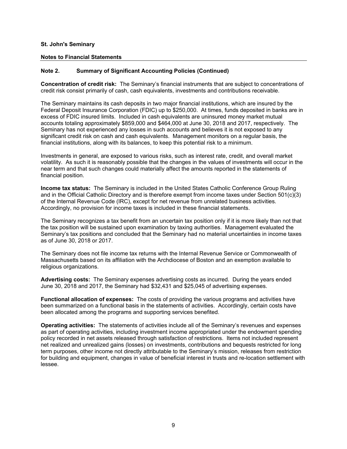#### **Notes to Financial Statements**

#### **Note 2. Summary of Significant Accounting Policies (Continued)**

**Concentration of credit risk:** The Seminary's financial instruments that are subject to concentrations of credit risk consist primarily of cash, cash equivalents, investments and contributions receivable.

The Seminary maintains its cash deposits in two major financial institutions, which are insured by the Federal Deposit Insurance Corporation (FDIC) up to \$250,000. At times, funds deposited in banks are in excess of FDIC insured limits. Included in cash equivalents are uninsured money market mutual accounts totaling approximately \$859,000 and \$464,000 at June 30, 2018 and 2017, respectively. The Seminary has not experienced any losses in such accounts and believes it is not exposed to any significant credit risk on cash and cash equivalents. Management monitors on a regular basis, the financial institutions, along with its balances, to keep this potential risk to a minimum.

Investments in general, are exposed to various risks, such as interest rate, credit, and overall market volatility. As such it is reasonably possible that the changes in the values of investments will occur in the near term and that such changes could materially affect the amounts reported in the statements of financial position.

**Income tax status:** The Seminary is included in the United States Catholic Conference Group Ruling and in the Official Catholic Directory and is therefore exempt from income taxes under Section 501(c)(3) of the Internal Revenue Code (IRC), except for net revenue from unrelated business activities. Accordingly, no provision for income taxes is included in these financial statements.

The Seminary recognizes a tax benefit from an uncertain tax position only if it is more likely than not that the tax position will be sustained upon examination by taxing authorities. Management evaluated the Seminary's tax positions and concluded that the Seminary had no material uncertainties in income taxes as of June 30, 2018 or 2017.

The Seminary does not file income tax returns with the Internal Revenue Service or Commonwealth of Massachusetts based on its affiliation with the Archdiocese of Boston and an exemption available to religious organizations.

**Advertising costs:** The Seminary expenses advertising costs as incurred. During the years ended June 30, 2018 and 2017, the Seminary had \$32,431 and \$25,045 of advertising expenses.

**Functional allocation of expenses:** The costs of providing the various programs and activities have been summarized on a functional basis in the statements of activities. Accordingly, certain costs have been allocated among the programs and supporting services benefited.

**Operating activities:** The statements of activities include all of the Seminary's revenues and expenses as part of operating activities, including investment income appropriated under the endowment spending policy recorded in net assets released through satisfaction of restrictions. Items not included represent net realized and unrealized gains (losses) on investments, contributions and bequests restricted for long term purposes, other income not directly attributable to the Seminary's mission, releases from restriction for building and equipment, changes in value of beneficial interest in trusts and re-location settlement with lessee.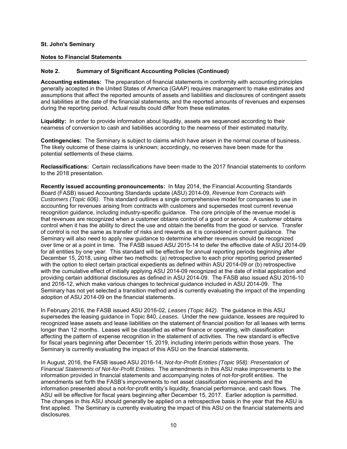#### **Notes to Financial Statements**

# **Note 2. Summary of Significant Accounting Policies (Continued)**

**Accounting estimates:** The preparation of financial statements in conformity with accounting principles generally accepted in the United States of America (GAAP) requires management to make estimates and assumptions that affect the reported amounts of assets and liabilities and disclosures of contingent assets and liabilities at the date of the financial statements, and the reported amounts of revenues and expenses during the reporting period. Actual results could differ from these estimates.

**Liquidity:** In order to provide information about liquidity, assets are sequenced according to their nearness of conversion to cash and liabilities according to the nearness of their estimated maturity.

**Contingencies:** The Seminary is subject to claims which have arisen in the normal course of business. The likely outcome of these claims is unknown; accordingly, no reserves have been made for the potential settlements of these claims.

**Reclassifications:** Certain reclassifications have been made to the 2017 financial statements to conform to the 2018 presentation.

**Recently issued accounting pronouncements:** In May 2014, the Financial Accounting Standards Board (FASB) issued Accounting Standards update (ASU) 2014-09, *Revenue from Contracts with Customers (Topic 606)*. This standard outlines a single comprehensive model for companies to use in accounting for revenues arising from contracts with customers and supersedes most current revenue recognition guidance, including industry-specific guidance. The core principle of the revenue model is that revenues are recognized when a customer obtains control of a good or service. A customer obtains control when it has the ability to direct the use and obtain the benefits from the good or service. Transfer of control is not the same as transfer of risks and rewards as it is considered in current guidance. The Seminary will also need to apply new guidance to determine whether revenues should be recognized over time or at a point in time. The FASB issued ASU 2015-14 to defer the effective date of ASU 2014-09 for all entities by one year. This standard will be effective for annual reporting periods beginning after December 15, 2018, using either two methods: (a) retrospective to each prior reporting period presented with the option to elect certain practical expedients as defined within ASU 2014-09 or (b) retrospective with the cumulative effect of initially applying ASU 2014-09 recognized at the date of initial application and providing certain additional disclosures as defined in ASU 2014-09. The FASB also issued ASU 2016-10 and 2016-12, which make various changes to technical guidance included in ASU 2014-09. The Seminary has not yet selected a transition method and is currently evaluating the impact of the impending adoption of ASU 2014-09 on the financial statements.

In February 2016, the FASB issued ASU 2016-02, *Leases (Topic 842)*. The guidance in this ASU supersedes the leasing guidance in Topic 840, *Leases.* Under the new guidance, lessees are required to recognized lease assets and lease liabilities on the statement of financial position for all leases with terms longer than 12 months. Leases will be classified as either finance or operating, with classification affecting the pattern of expense recognition in the statement of activities. The new standard is effective for fiscal years beginning after December 15, 2019, including interim periods within those years. The Seminary is currently evaluating the impact of this ASU on the financial statements.

In August, 2016, the FASB issued ASU 2016-14, *Not-for-Profit Entities (Topic 958): Presentation of Financial Statements of Not-for-Profit Entities.* The amendments in this ASU make improvements to the information provided in financial statements and accompanying notes of not-for-profit entities. The amendments set forth the FASB's improvements to net asset classification requirements and the information presented about a not-for-profit entity's liquidity, financial performance, and cash flows. The ASU will be effective for fiscal years beginning after December 15, 2017. Earlier adoption is permitted. The changes in this ASU should generally be applied on a retrospective basis in the year that the ASU is first applied. The Seminary is currently evaluating the impact of this ASU on the financial statements and disclosures.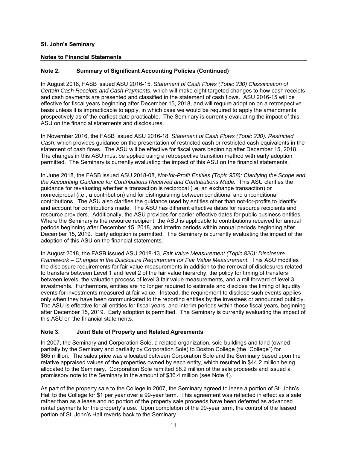#### **Notes to Financial Statements**

# **Note 2. Summary of Significant Accounting Policies (Continued)**

In August 2016, FASB issued ASU 2016-15, *Statement of Cash Flows (Topic 230) Classification of Certain Cash Receipts and Cash Payments*, which will make eight targeted changes to how cash receipts and cash payments are presented and classified in the statement of cash flows. ASU 2016-15 will be effective for fiscal years beginning after December 15, 2018, and will require adoption on a retrospective basis unless it is impracticable to apply, in which case we would be required to apply the amendments prospectively as of the earliest date practicable. The Seminary is currently evaluating the impact of this ASU on the financial statements and disclosures.

In November 2016, the FASB issued ASU 2016-18, *Statement of Cash Flows (Topic 230): Restricted Cash*, which provides guidance on the presentation of restricted cash or restricted cash equivalents in the statement of cash flows. The ASU will be effective for fiscal years beginning after December 15, 2018. The changes in this ASU must be applied using a retrospective transition method with early adoption permitted. The Seminary is currently evaluating the impact of this ASU on the financial statements.

In June 2018, the FASB issued ASU 2018-08, *Not-for-Profit Entities (Topic 958): Clarifying the Scope and the Accounting Guidance for Contributions Received and Contributions Made.* This ASU clarifies the guidance for revaluating whether a transaction is reciprocal (i.e. an exchange transaction) or nonreciprocal (i.e., a contribution) and for distinguishing between conditional and unconditional contributions. The ASU also clarifies the guidance used by entities other than not-for-profits to identify and account for contributions made. The ASU has different effective dates for resource recipients and resource providers. Additionally, the ASU provides for earlier effective dates for public business entities. Where the Seminary is the resource recipient, the ASU is applicable to contributions received for annual periods beginning after December 15, 2018, and interim periods within annual periods beginning after December 15, 2019. Early adoption is permitted. The Seminary is currently evaluating the impact of the adoption of this ASU on the financial statements.

In August 2018, the FASB issued ASU 2018-13, *Fair Value Measurement (Topic 820): Disclosure Framework – Changes in the Disclosure Requirement for Fair Value Measurement.* This ASU modifies the disclosure requirements for fair value measurements in addition to the removal of disclosures related to transfers between Level 1 and level 2 of the fair value hierarchy, the policy for timing of transfers between levels, the valuation process of level 3 fair value measurements, and a roll forward of level 3 investments. Furthermore, entities are no longer required to estimate and disclose the timing of liquidity events for investments measured at fair value. Instead, the requirement to disclose such events applies only when they have been communicated to the reporting entities by the investees or announced publicly. The ASU is effective for all entities for fiscal years, and interim periods within those fiscal years, beginning after December 15, 2019. Early adoption is permitted. The Seminary is currently evaluating the impact of this ASU on the financial statements.

# **Note 3. Joint Sale of Property and Related Agreements**

In 2007, the Seminary and Corporation Sole, a related organization, sold buildings and land (owned partially by the Seminary and partially by Corporation Sole) to Boston College (the "College") for \$65 million. The sales price was allocated between Corporation Sole and the Seminary based upon the relative appraised values of the properties owned by each entity, which resulted in \$44.2 million being allocated to the Seminary. Corporation Sole remitted \$8.2 million of the sale proceeds and issued a promissory note to the Seminary in the amount of \$36.4 million (see Note 4).

As part of the property sale to the College in 2007, the Seminary agreed to lease a portion of St. John's Hall to the College for \$1 per year over a 99-year term. This agreement was reflected in effect as a sale rather than as a lease and no portion of the property sale proceeds have been deferred as advanced rental payments for the property's use. Upon completion of the 99-year term, the control of the leased portion of St. John's Hall reverts back to the Seminary.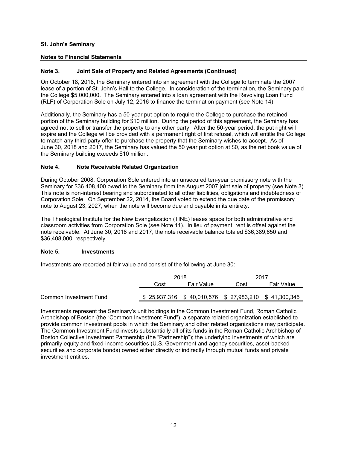## **Notes to Financial Statements**

# **Note 3. Joint Sale of Property and Related Agreements (Continued)**

On October 18, 2016, the Seminary entered into an agreement with the College to terminate the 2007 lease of a portion of St. John's Hall to the College. In consideration of the termination, the Seminary paid the College \$5,000,000. The Seminary entered into a loan agreement with the Revolving Loan Fund (RLF) of Corporation Sole on July 12, 2016 to finance the termination payment (see Note 14).

Additionally, the Seminary has a 50-year put option to require the College to purchase the retained portion of the Seminary building for \$10 million. During the period of this agreement, the Seminary has agreed not to sell or transfer the property to any other party. After the 50-year period, the put right will expire and the College will be provided with a permanent right of first refusal, which will entitle the College to match any third-party offer to purchase the property that the Seminary wishes to accept. As of June 30, 2018 and 2017, the Seminary has valued the 50 year put option at \$0, as the net book value of the Seminary building exceeds \$10 million.

# **Note 4. Note Receivable Related Organization**

During October 2008, Corporation Sole entered into an unsecured ten-year promissory note with the Seminary for \$36,408,400 owed to the Seminary from the August 2007 joint sale of property (see Note 3). This note is non-interest bearing and subordinated to all other liabilities, obligations and indebtedness of Corporation Sole. On September 22, 2014, the Board voted to extend the due date of the promissory note to August 23, 2027, when the note will become due and payable in its entirety.

The Theological Institute for the New Evangelization (TINE) leases space for both administrative and classroom activities from Corporation Sole (see Note 11). In lieu of payment, rent is offset against the note receivable. At June 30, 2018 and 2017, the note receivable balance totaled \$36,389,650 and \$36,408,000, respectively.

# **Note 5. Investments**

Investments are recorded at fair value and consist of the following at June 30:

|                        |      | 2018                                                    |      |            |  |  |  |
|------------------------|------|---------------------------------------------------------|------|------------|--|--|--|
|                        | Cost | Fair Value                                              | Cost | Fair Value |  |  |  |
| Common Investment Fund |      | $$25,937,316$ $$40,010,576$ $$27,983,210$ $$41,300,345$ |      |            |  |  |  |

Investments represent the Seminary's unit holdings in the Common Investment Fund, Roman Catholic Archbishop of Boston (the "Common Investment Fund"), a separate related organization established to provide common investment pools in which the Seminary and other related organizations may participate. The Common Investment Fund invests substantially all of its funds in the Roman Catholic Archbishop of Boston Collective Investment Partnership (the "Partnership"); the underlying investments of which are primarily equity and fixed-income securities (U.S. Government and agency securities, asset-backed securities and corporate bonds) owned either directly or indirectly through mutual funds and private investment entities.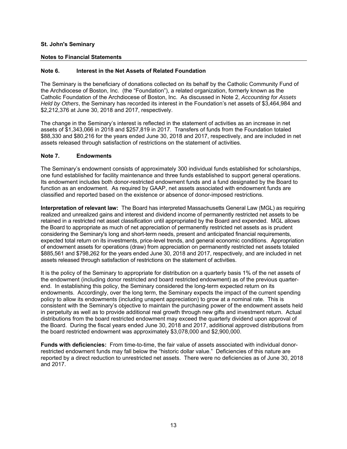#### **Notes to Financial Statements**

## **Note 6. Interest in the Net Assets of Related Foundation**

The Seminary is the beneficiary of donations collected on its behalf by the Catholic Community Fund of the Archdiocese of Boston, Inc. (the "Foundation"), a related organization, formerly known as the Catholic Foundation of the Archdiocese of Boston, Inc. As discussed in Note 2, *Accounting for Assets Held by Others*, the Seminary has recorded its interest in the Foundation's net assets of \$3,464,984 and \$2,212,376 at June 30, 2018 and 2017, respectively.

The change in the Seminary's interest is reflected in the statement of activities as an increase in net assets of \$1,343,066 in 2018 and \$257,819 in 2017. Transfers of funds from the Foundation totaled \$88,330 and \$80,216 for the years ended June 30, 2018 and 2017, respectively, and are included in net assets released through satisfaction of restrictions on the statement of activities.

## **Note 7. Endowments**

The Seminary's endowment consists of approximately 300 individual funds established for scholarships, one fund established for facility maintenance and three funds established to support general operations. Its endowment includes both donor-restricted endowment funds and a fund designated by the Board to function as an endowment. As required by GAAP, net assets associated with endowment funds are classified and reported based on the existence or absence of donor-imposed restrictions.

**Interpretation of relevant law:** The Board has interpreted Massachusetts General Law (MGL) as requiring realized and unrealized gains and interest and dividend income of permanently restricted net assets to be retained in a restricted net asset classification until appropriated by the Board and expended. MGL allows the Board to appropriate as much of net appreciation of permanently restricted net assets as is prudent considering the Seminary's long and short-term needs, present and anticipated financial requirements, expected total return on its investments, price-level trends, and general economic conditions. Appropriation of endowment assets for operations (draw) from appreciation on permanently restricted net assets totaled \$885,561 and \$798,262 for the years ended June 30, 2018 and 2017, respectively, and are included in net assets released through satisfaction of restrictions on the statement of activities.

It is the policy of the Seminary to appropriate for distribution on a quarterly basis 1% of the net assets of the endowment (including donor restricted and board restricted endowment) as of the previous quarterend. In establishing this policy, the Seminary considered the long-term expected return on its endowments. Accordingly, over the long term, the Seminary expects the impact of the current spending policy to allow its endowments (including unspent appreciation) to grow at a nominal rate. This is consistent with the Seminary's objective to maintain the purchasing power of the endowment assets held in perpetuity as well as to provide additional real growth through new gifts and investment return. Actual distributions from the board restricted endowment may exceed the quarterly dividend upon approval of the Board. During the fiscal years ended June 30, 2018 and 2017, additional approved distributions from the board restricted endowment was approximately \$3,078,000 and \$2,900,000.

**Funds with deficiencies:** From time-to-time, the fair value of assets associated with individual donorrestricted endowment funds may fall below the "historic dollar value." Deficiencies of this nature are reported by a direct reduction to unrestricted net assets. There were no deficiencies as of June 30, 2018 and 2017.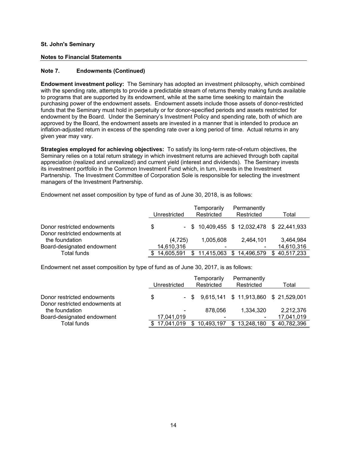#### **Notes to Financial Statements**

#### **Note 7. Endowments (Continued)**

**Endowment investment policy:** The Seminary has adopted an investment philosophy, which combined with the spending rate, attempts to provide a predictable stream of returns thereby making funds available to programs that are supported by its endowment, while at the same time seeking to maintain the purchasing power of the endowment assets. Endowment assets include those assets of donor-restricted funds that the Seminary must hold in perpetuity or for donor-specified periods and assets restricted for endowment by the Board. Under the Seminary's Investment Policy and spending rate, both of which are approved by the Board, the endowment assets are invested in a manner that is intended to produce an inflation-adjusted return in excess of the spending rate over a long period of time. Actual returns in any given year may vary.

**Strategies employed for achieving objectives:** To satisfy its long-term rate-of-return objectives, the Seminary relies on a total return strategy in which investment returns are achieved through both capital appreciation (realized and unrealized) and current yield (interest and dividends). The Seminary invests its investment portfolio in the Common Investment Fund which, in turn, invests in the Investment Partnership. The Investment Committee of Corporation Sole is responsible for selecting the investment managers of the Investment Partnership.

Endowment net asset composition by type of fund as of June 30, 2018, is as follows:

|                                                  |    | Unrestricted | Temporarily<br>Restricted | Permanently<br>Restricted                     | Total        |
|--------------------------------------------------|----|--------------|---------------------------|-----------------------------------------------|--------------|
| Donor restricted endowments                      | S. |              |                           | $-$ \$ 10,409,455 \$ 12,032,478 \$ 22,441,933 |              |
| Donor restricted endowments at<br>the foundation |    | (4, 725)     | 1,005,608                 | 2,464,101                                     | 3,464,984    |
| Board-designated endowment                       |    | 14,610,316   | $\blacksquare$            | ۰                                             | 14,610,316   |
| <b>Total funds</b>                               |    | \$14,605,591 | \$11,415,063              | \$14,496,579                                  | \$40,517,233 |

Endowment net asset composition by type of fund as of June 30, 2017, is as follows:

|                                                  |   | Unrestricted | Temporarily<br>Restricted | Permanently<br>Restricted                    | Total        |
|--------------------------------------------------|---|--------------|---------------------------|----------------------------------------------|--------------|
| Donor restricted endowments                      | S |              |                           | $-$ \$ 9,615,141 \$ 11,913,860 \$ 21,529,001 |              |
| Donor restricted endowments at<br>the foundation |   | ۰            | 878.056                   | 1,334,320                                    | 2,212,376    |
| Board-designated endowment                       |   | 17,041,019   |                           | ٠                                            | 17,041,019   |
| Total funds                                      |   | \$17,041,019 | \$10,493,197              | \$13,248,180                                 | \$40.782.396 |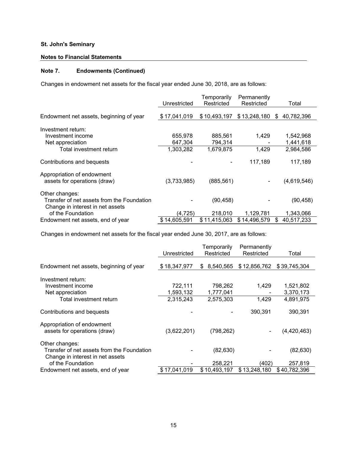# **Notes to Financial Statements**

# **Note 7. Endowments (Continued)**

Changes in endowment net assets for the fiscal year ended June 30, 2018, are as follows:

|                                                                                 |              | Temporarily  | Permanently  |     |             |
|---------------------------------------------------------------------------------|--------------|--------------|--------------|-----|-------------|
|                                                                                 | Unrestricted | Restricted   | Restricted   |     | Total       |
|                                                                                 |              |              |              |     |             |
| Endowment net assets, beginning of year                                         | \$17,041,019 | \$10,493,197 | \$13,248,180 | \$. | 40,782,396  |
| Investment return:                                                              |              |              |              |     |             |
| Investment income                                                               | 655,978      | 885,561      | 1,429        |     | 1,542,968   |
| Net appreciation                                                                | 647,304      | 794,314      |              |     | 1,441,618   |
| Total investment return                                                         | 1,303,282    | 1,679,875    | 1,429        |     | 2,984,586   |
| Contributions and bequests                                                      |              |              | 117,189      |     | 117,189     |
| Appropriation of endowment<br>assets for operations (draw)                      | (3,733,985)  | (885, 561)   |              |     | (4,619,546) |
|                                                                                 |              |              |              |     |             |
| Other changes:                                                                  |              |              |              |     |             |
| Transfer of net assets from the Foundation.<br>Change in interest in net assets |              | (90, 458)    |              |     | (90, 458)   |
| of the Foundation                                                               | (4, 725)     | 218,010      | 1,129,781    |     | 1,343,066   |
| Endowment net assets, end of year                                               | \$14,605,591 | \$11,415,063 | \$14,496,579 | \$. | 40,517,233  |

Changes in endowment net assets for the fiscal year ended June 30, 2017, are as follows:

|                                                                                |              | Temporarily     | Permanently  |              |
|--------------------------------------------------------------------------------|--------------|-----------------|--------------|--------------|
|                                                                                | Unrestricted | Restricted      | Restricted   | Total        |
|                                                                                |              |                 |              |              |
| Endowment net assets, beginning of year                                        | \$18,347,977 | 8,540,565<br>\$ | \$12,856,762 | \$39,745,304 |
| Investment return:                                                             |              |                 |              |              |
|                                                                                |              |                 |              |              |
| Investment income                                                              | 722,111      | 798,262         | 1,429        | 1,521,802    |
| Net appreciation                                                               | 1,593,132    | 1,777,041       |              | 3,370,173    |
| Total investment return                                                        | 2,315,243    | 2,575,303       | 1,429        | 4,891,975    |
| Contributions and bequests                                                     |              |                 | 390,391      | 390,391      |
| Appropriation of endowment                                                     |              |                 |              |              |
| assets for operations (draw)                                                   | (3,622,201)  | (798, 262)      |              | (4,420,463)  |
| Other changes:                                                                 |              |                 |              |              |
| Transfer of net assets from the Foundation<br>Change in interest in net assets |              | (82, 630)       |              | (82, 630)    |
| of the Foundation                                                              |              | 258,221         | (402)        | 257,819      |
| Endowment net assets, end of year                                              | \$17,041,019 | \$10,493,197    | \$13,248,180 | \$40,782,396 |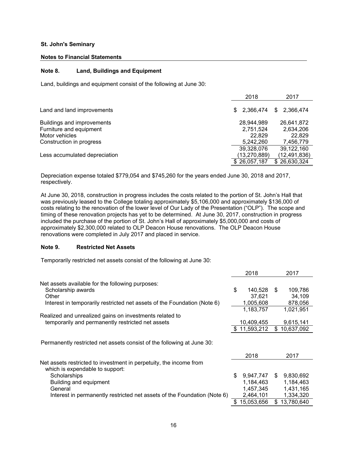#### **Notes to Financial Statements**

#### **Note 8. Land, Buildings and Equipment**

Land, buildings and equipment consist of the following at June 30:

|                               | 2018         | 2017            |
|-------------------------------|--------------|-----------------|
| Land and land improvements    | \$2,366,474  | \$<br>2,366,474 |
| Buildings and improvements    | 28,944,989   | 26,641,872      |
| Furniture and equipment       | 2,751,524    | 2,634,206       |
| Motor vehicles                | 22.829       | 22,829          |
| Construction in progress      | 5,242,260    | 7,456,779       |
|                               | 39,328,076   | 39,122,160      |
| Less accumulated depreciation | (13,270,889) | (12, 491, 836)  |
|                               | \$26,057,187 | \$26,630,324    |

Depreciation expense totaled \$779,054 and \$745,260 for the years ended June 30, 2018 and 2017, respectively.

At June 30, 2018, construction in progress includes the costs related to the portion of St. John's Hall that was previously leased to the College totaling approximately \$5,106,000 and approximately \$136,000 of costs relating to the renovation of the lower level of Our Lady of the Presentation ("OLP"). The scope and timing of these renovation projects has yet to be determined. At June 30, 2017, construction in progress included the purchase of the portion of St. John's Hall of approximately \$5,000,000 and costs of approximately \$2,300,000 related to OLP Deacon House renovations. The OLP Deacon House renovations were completed in July 2017 and placed in service.

#### **Note 9. Restricted Net Assets**

Temporarily restricted net assets consist of the following at June 30:

|                                                                          | 2018             |     | 2017       |
|--------------------------------------------------------------------------|------------------|-----|------------|
| Net assets available for the following purposes:                         |                  |     |            |
| Scholarship awards                                                       | \$<br>140,528    | -SS | 109,786    |
| Other                                                                    | 37,621           |     | 34,109     |
| Interest in temporarily restricted net assets of the Foundation (Note 6) | 1,005,608        |     | 878,056    |
|                                                                          | 1,183,757        |     | 1,021,951  |
| Realized and unrealized gains on investments related to                  |                  |     |            |
| temporarily and permanently restricted net assets                        | 10,409,455       |     | 9,615,141  |
|                                                                          | \$<br>11,593,212 | \$  | 10,637,092 |
|                                                                          |                  |     |            |
| Permanently restricted net assets consist of the following at June 30:   |                  |     |            |
|                                                                          |                  |     |            |
|                                                                          | 2018             |     | 2017       |
| Net assets restricted to investment in perpetuity, the income from       |                  |     |            |
| which is expendable to support:                                          |                  |     |            |
| Scholarships                                                             | \$<br>9,947,747  | \$  | 9,830,692  |
| Building and equipment                                                   | 1,184,463        |     | 1,184,463  |
| General                                                                  | 1,457,345        |     | 1,431,165  |
| Interest in permanently restricted net assets of the Foundation (Note 6) | 2,464,101        |     | 1,334,320  |
|                                                                          | 15,053,656       | S   | 13,780,640 |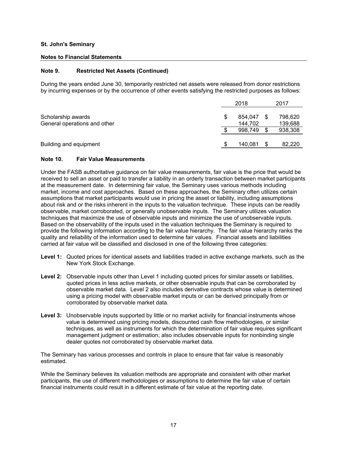#### **Notes to Financial Statements**

#### **Note 9. Restricted Net Assets (Continued)**

During the years ended June 30, temporarily restricted net assets were released from donor restrictions by incurring expenses or by the occurrence of other events satisfying the restricted purposes as follows:

|                                                    |     | 2018               |   | 2017               |
|----------------------------------------------------|-----|--------------------|---|--------------------|
| Scholarship awards<br>General operations and other | S   | 854.047<br>144,702 |   | 798,620<br>139,688 |
|                                                    |     | 998.749            | S | 938,308            |
| Building and equipment                             | \$. | 140,081            | S | 82,220             |
|                                                    |     |                    |   |                    |

#### **Note 10. Fair Value Measurements**

Under the FASB authoritative guidance on fair value measurements, fair value is the price that would be received to sell an asset or paid to transfer a liability in an orderly transaction between market participants at the measurement date. In determining fair value, the Seminary uses various methods including market, income and cost approaches. Based on these approaches, the Seminary often utilizes certain assumptions that market participants would use in pricing the asset or liability, including assumptions about risk and or the risks inherent in the inputs to the valuation technique. These inputs can be readily observable, market corroborated, or generally unobservable inputs. The Seminary utilizes valuation techniques that maximize the use of observable inputs and minimize the use of unobservable inputs. Based on the observability of the inputs used in the valuation techniques the Seminary is required to provide the following information according to the fair value hierarchy. The fair value hierarchy ranks the quality and reliability of the information used to determine fair values. Financial assets and liabilities carried at fair value will be classified and disclosed in one of the following three categories:

- **Level 1:** Quoted prices for identical assets and liabilities traded in active exchange markets, such as the New York Stock Exchange.
- **Level 2:** Observable inputs other than Level 1 including quoted prices for similar assets or liabilities, quoted prices in less active markets, or other observable inputs that can be corroborated by observable market data. Level 2 also includes derivative contracts whose value is determined using a pricing model with observable market inputs or can be derived principally from or corroborated by observable market data.
- Level 3: Unobservable inputs supported by little or no market activity for financial instruments whose value is determined using pricing models, discounted cash flow methodologies, or similar techniques, as well as instruments for which the determination of fair value requires significant management judgment or estimation; also includes observable inputs for nonbinding single dealer quotes not corroborated by observable market data.

The Seminary has various processes and controls in place to ensure that fair value is reasonably estimated.

While the Seminary believes its valuation methods are appropriate and consistent with other market participants, the use of different methodologies or assumptions to determine the fair value of certain financial instruments could result in a different estimate of fair value at the reporting date.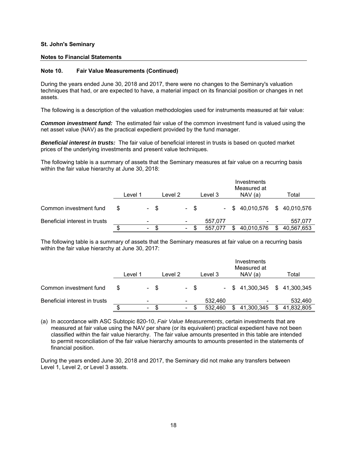#### **Notes to Financial Statements**

#### **Note 10. Fair Value Measurements (Continued)**

During the years ended June 30, 2018 and 2017, there were no changes to the Seminary's valuation techniques that had, or are expected to have, a material impact on its financial position or changes in net assets.

The following is a description of the valuation methodologies used for instruments measured at fair value:

*Common investment fund:*The estimated fair value of the common investment fund is valued using the net asset value (NAV) as the practical expedient provided by the fund manager.

*Beneficial interest in trusts:*The fair value of beneficial interest in trusts is based on quoted market prices of the underlying investments and present value techniques.

The following table is a summary of assets that the Seminary measures at fair value on a recurring basis within the fair value hierarchy at June 30, 2018:

|                               |   | Level 1 |                |      | Level 2 |                | Level 3 | Investments<br>Measured at<br>NAV(a) |     | Total      |
|-------------------------------|---|---------|----------------|------|---------|----------------|---------|--------------------------------------|-----|------------|
| Common investment fund        | S |         |                | - \$ |         | - \$           |         | $-$ \$ 40,010,576 \$ 40,010,576      |     |            |
| Beneficial interest in trusts |   |         | ۰              |      |         |                | 557,077 |                                      |     | 557,077    |
|                               |   |         | $\blacksquare$ | \$.  |         | $\blacksquare$ | 557.077 | 40,010,576                           | \$. | 40,567,653 |

The following table is a summary of assets that the Seminary measures at fair value on a recurring basis within the fair value hierarchy at June 30, 2017:

|                               |     | Level 1 |                          |      | Level 2 |        |       | Level 3 | Investments<br>Measured at<br>NAV(a) | Total            |
|-------------------------------|-----|---------|--------------------------|------|---------|--------|-------|---------|--------------------------------------|------------------|
| Common investment fund        | \$. |         |                          | - \$ |         |        | $- S$ |         | $-$ \$ 41,300,345 \$ 41,300,345      |                  |
| Beneficial interest in trusts |     |         | $\overline{\phantom{0}}$ |      |         |        |       | 532,460 |                                      | 532,460          |
|                               |     |         | $\blacksquare$           |      |         | $\sim$ |       | 532,460 | 41,300,345                           | \$<br>41,832,805 |

(a) In accordance with ASC Subtopic 820-10, *Fair Value Measurements*, certain investments that are measured at fair value using the NAV per share (or its equivalent) practical expedient have not been classified within the fair value hierarchy. The fair value amounts presented in this table are intended to permit reconciliation of the fair value hierarchy amounts to amounts presented in the statements of financial position.

During the years ended June 30, 2018 and 2017, the Seminary did not make any transfers between Level 1, Level 2, or Level 3 assets.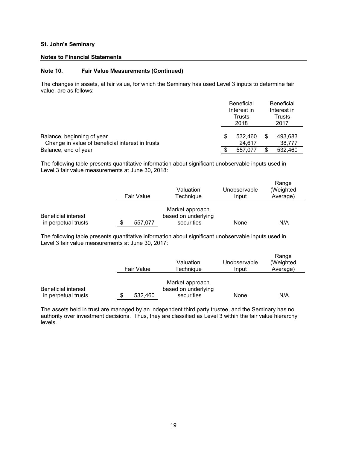#### **Notes to Financial Statements**

# **Note 10. Fair Value Measurements (Continued)**

The changes in assets, at fair value, for which the Seminary has used Level 3 inputs to determine fair value, are as follows:

|                                                  | <b>Beneficial</b><br>Interest in<br>Trusts |      | <b>Beneficial</b><br>Interest in<br><b>Trusts</b> |
|--------------------------------------------------|--------------------------------------------|------|---------------------------------------------------|
|                                                  | 2018                                       | 2017 |                                                   |
|                                                  |                                            |      |                                                   |
| Balance, beginning of year                       | 532.460                                    |      | 493,683                                           |
| Change in value of beneficial interest in trusts | 24,617                                     |      | 38,777                                            |
| Balance, end of year                             | 557.077                                    |      | 532,460                                           |

The following table presents quantitative information about significant unobservable inputs used in Level 3 fair value measurements at June 30, 2018:

|                                                   | <b>Fair Value</b> | Valuation<br>Techniaue                               | Unobservable<br>Input | Range<br>(Weighted<br>Average) |
|---------------------------------------------------|-------------------|------------------------------------------------------|-----------------------|--------------------------------|
| <b>Beneficial interest</b><br>in perpetual trusts | 557.077           | Market approach<br>based on underlying<br>securities | None                  | N/A                            |

The following table presents quantitative information about significant unobservable inputs used in Level 3 fair value measurements at June 30, 2017:

|                                                   | Fair Value | Valuation<br>Techniaue                               | Unobservable<br>Input | Range<br>(Weighted<br>Average) |
|---------------------------------------------------|------------|------------------------------------------------------|-----------------------|--------------------------------|
| <b>Beneficial interest</b><br>in perpetual trusts | 532.460    | Market approach<br>based on underlying<br>securities | None                  | N/A                            |

The assets held in trust are managed by an independent third party trustee, and the Seminary has no authority over investment decisions. Thus, they are classified as Level 3 within the fair value hierarchy levels.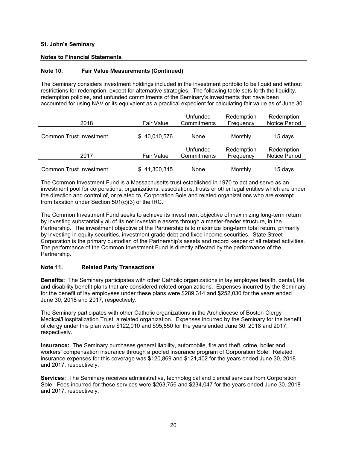#### **Notes to Financial Statements**

#### **Note 10. Fair Value Measurements (Continued)**

The Seminary considers investment holdings included in the investment portfolio to be liquid and without restrictions for redemption, except for alternative strategies. The following table sets forth the liquidity, redemption policies, and unfunded commitments of the Seminary's investments that have been accounted for using NAV or its equivalent as a practical expedient for calculating fair value as of June 30.

| 2018                           | <b>Fair Value</b> | Unfunded<br>Commitments | Redemption<br>Frequency | Redemption<br><b>Notice Period</b> |
|--------------------------------|-------------------|-------------------------|-------------------------|------------------------------------|
| <b>Common Trust Investment</b> | \$40,010,576      | None                    | Monthly                 | 15 days                            |
| 2017                           | <b>Fair Value</b> | Unfunded<br>Commitments | Redemption<br>Frequency | Redemption<br><b>Notice Period</b> |
| <b>Common Trust Investment</b> | \$41,300,345      | None                    | Monthly                 | 15 days                            |

The Common Investment Fund is a Massachusetts trust established in 1970 to act and serve as an investment pool for corporations, organizations, associations, trusts or other legal entities which are under the direction and control of, or related to, Corporation Sole and related organizations who are exempt from taxation under Section 501(c)(3) of the IRC.

The Common Investment Fund seeks to achieve its investment objective of maximizing long-term return by investing substantially all of its net investable assets through a master-feeder structure, in the Partnership. The investment objective of the Partnership is to maximize long-term total return, primarily by investing in equity securities, investment grade debt and fixed income securities. State Street Corporation is the primary custodian of the Partnership's assets and record keeper of all related activities. The performance of the Common Investment Fund is directly affected by the performance of the Partnership.

#### **Note 11. Related Party Transactions**

**Benefits:** The Seminary participates with other Catholic organizations in lay employee health, dental, life and disability benefit plans that are considered related organizations. Expenses incurred by the Seminary for the benefit of lay employees under these plans were \$289,314 and \$252,030 for the years ended June 30, 2018 and 2017, respectively.

The Seminary participates with other Catholic organizations in the Archdiocese of Boston Clergy Medical/Hospitalization Trust, a related organization. Expenses incurred by the Seminary for the benefit of clergy under this plan were \$122,010 and \$95,550 for the years ended June 30, 2018 and 2017, respectively.

**Insurance:** The Seminary purchases general liability, automobile, fire and theft, crime, boiler and workers' compensation insurance through a pooled insurance program of Corporation Sole. Related insurance expenses for this coverage was \$120,869 and \$121,402 for the years ended June 30, 2018 and 2017, respectively.

**Services:** The Seminary receives administrative, technological and clerical services from Corporation Sole. Fees incurred for these services were \$263,756 and \$234,047 for the years ended June 30, 2018 and 2017, respectively.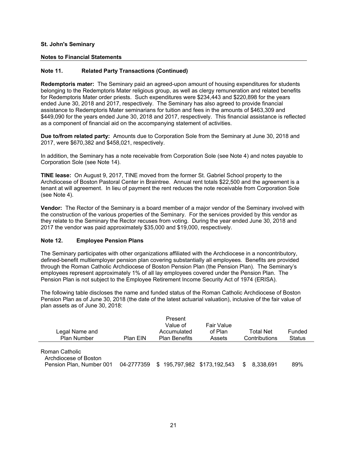#### **Notes to Financial Statements**

# **Note 11. Related Party Transactions (Continued)**

**Redemptoris mater:** The Seminary paid an agreed-upon amount of housing expenditures for students belonging to the Redemptoris Mater religious group, as well as clergy remuneration and related benefits for Redemptoris Mater order priests. Such expenditures were \$234,443 and \$220,898 for the years ended June 30, 2018 and 2017, respectively. The Seminary has also agreed to provide financial assistance to Redemptoris Mater seminarians for tuition and fees in the amounts of \$463,309 and \$449,090 for the years ended June 30, 2018 and 2017, respectively. This financial assistance is reflected as a component of financial aid on the accompanying statement of activities.

**Due to/from related party:** Amounts due to Corporation Sole from the Seminary at June 30, 2018 and 2017, were \$670,382 and \$458,021, respectively.

In addition, the Seminary has a note receivable from Corporation Sole (see Note 4) and notes payable to Corporation Sole (see Note 14).

**TINE lease:** On August 9, 2017, TINE moved from the former St. Gabriel School property to the Archdiocese of Boston Pastoral Center in Braintree. Annual rent totals \$22,500 and the agreement is a tenant at will agreement. In lieu of payment the rent reduces the note receivable from Corporation Sole (see Note 4).

**Vendor:** The Rector of the Seminary is a board member of a major vendor of the Seminary involved with the construction of the various properties of the Seminary. For the services provided by this vendor as they relate to the Seminary the Rector recuses from voting. During the year ended June 30, 2018 and 2017 the vendor was paid approximately \$35,000 and \$19,000, respectively.

#### **Note 12. Employee Pension Plans**

The Seminary participates with other organizations affiliated with the Archdiocese in a noncontributory, defined-benefit multiemployer pension plan covering substantially all employees. Benefits are provided through the Roman Catholic Archdiocese of Boston Pension Plan (the Pension Plan). The Seminary's employees represent approximately 1% of all lay employees covered under the Pension Plan. The Pension Plan is not subject to the Employee Retirement Income Security Act of 1974 (ERISA).

The following table discloses the name and funded status of the Roman Catholic Archdiocese of Boston Pension Plan as of June 30, 2018 (the date of the latest actuarial valuation), inclusive of the fair value of plan assets as of June 30, 2018:

| Legal Name and<br><b>Plan Number</b>                                | Plan EIN   | Present<br>Value of<br>Accumulated<br><b>Plan Benefits</b> | Fair Value<br>of Plan<br>Assets | <b>Total Net</b><br>Contributions | Funded<br><b>Status</b> |
|---------------------------------------------------------------------|------------|------------------------------------------------------------|---------------------------------|-----------------------------------|-------------------------|
| Roman Catholic<br>Archdiocese of Boston<br>Pension Plan, Number 001 | 04-2777359 | S                                                          | 195,797,982 \$173,192,543       | 8.338.691<br>S.                   | 89%                     |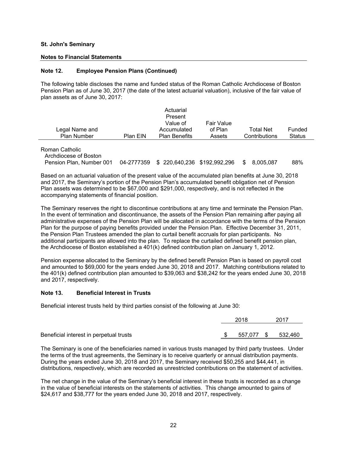#### **Notes to Financial Statements**

#### **Note 12. Employee Pension Plans (Continued)**

The following table discloses the name and funded status of the Roman Catholic Archdiocese of Boston Pension Plan as of June 30, 2017 (the date of the latest actuarial valuation), inclusive of the fair value of plan assets as of June 30, 2017:

|                    |          | Actuarial            |            |               |        |
|--------------------|----------|----------------------|------------|---------------|--------|
|                    |          | Present              |            |               |        |
|                    |          | Value of             | Fair Value |               |        |
| Legal Name and     |          | Accumulated          | of Plan    | Total Net     | Funded |
| <b>Plan Number</b> | Plan EIN | <b>Plan Benefits</b> | Assets     | Contributions | Status |

# Roman Catholic

Archdiocese of Boston Pension Plan, Number 001 04-2777359 \$ 220,640,236 \$192,992,296 \$ 8,005,087 88%

Based on an actuarial valuation of the present value of the accumulated plan benefits at June 30, 2018 and 2017, the Seminary's portion of the Pension Plan's accumulated benefit obligation net of Pension Plan assets was determined to be \$67,000 and \$291,000, respectively, and is not reflected in the accompanying statements of financial position.

The Seminary reserves the right to discontinue contributions at any time and terminate the Pension Plan. In the event of termination and discontinuance, the assets of the Pension Plan remaining after paying all administrative expenses of the Pension Plan will be allocated in accordance with the terms of the Pension Plan for the purpose of paying benefits provided under the Pension Plan. Effective December 31, 2011, the Pension Plan Trustees amended the plan to curtail benefit accruals for plan participants. No additional participants are allowed into the plan. To replace the curtailed defined benefit pension plan, the Archdiocese of Boston established a 401(k) defined contribution plan on January 1, 2012.

Pension expense allocated to the Seminary by the defined benefit Pension Plan is based on payroll cost and amounted to \$69,000 for the years ended June 30, 2018 and 2017. Matching contributions related to the 401(k) defined contribution plan amounted to \$39,063 and \$38,242 for the years ended June 30, 2018 and 2017, respectively.

# **Note 13. Beneficial Interest in Trusts**

Beneficial interest trusts held by third parties consist of the following at June 30:

|                                         | 2018       | 2017    |
|-----------------------------------------|------------|---------|
|                                         |            |         |
| Beneficial interest in perpetual trusts | 557,077 \$ | 532.460 |

The Seminary is one of the beneficiaries named in various trusts managed by third party trustees. Under the terms of the trust agreements, the Seminary is to receive quarterly or annual distribution payments. During the years ended June 30, 2018 and 2017, the Seminary received \$50,255 and \$44,441, in distributions, respectively, which are recorded as unrestricted contributions on the statement of activities.

The net change in the value of the Seminary's beneficial interest in these trusts is recorded as a change in the value of beneficial interests on the statements of activities. This change amounted to gains of \$24,617 and \$38,777 for the years ended June 30, 2018 and 2017, respectively.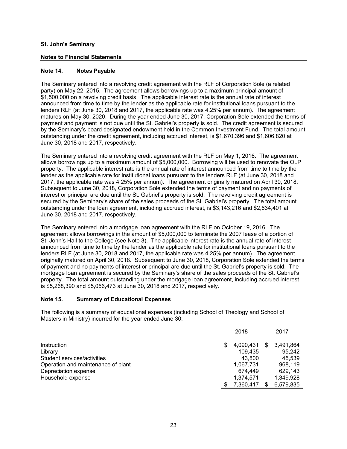#### **Notes to Financial Statements**

#### **Note 14. Notes Payable**

The Seminary entered into a revolving credit agreement with the RLF of Corporation Sole (a related party) on May 22, 2015. The agreement allows borrowings up to a maximum principal amount of \$1,500,000 on a revolving credit basis. The applicable interest rate is the annual rate of interest announced from time to time by the lender as the applicable rate for institutional loans pursuant to the lenders RLF (at June 30, 2018 and 2017, the applicable rate was 4.25% per annum). The agreement matures on May 30, 2020. During the year ended June 30, 2017, Corporation Sole extended the terms of payment and payment is not due until the St. Gabriel's property is sold. The credit agreement is secured by the Seminary's board designated endowment held in the Common Investment Fund. The total amount outstanding under the credit agreement, including accrued interest, is \$1,670,396 and \$1,606,820 at June 30, 2018 and 2017, respectively.

The Seminary entered into a revolving credit agreement with the RLF on May 1, 2016. The agreement allows borrowings up to a maximum amount of \$5,000,000. Borrowing will be used to renovate the OLP property. The applicable interest rate is the annual rate of interest announced from time to time by the lender as the applicable rate for institutional loans pursuant to the lenders RLF (at June 30, 2018 and 2017, the applicable rate was 4.25% per annum). The agreement originally matured on April 30, 2018. Subsequent to June 30, 2018, Corporation Sole extended the terms of payment and no payments of interest or principal are due until the St. Gabriel's property is sold. The revolving credit agreement is secured by the Seminary's share of the sales proceeds of the St. Gabriel's property. The total amount outstanding under the loan agreement, including accrued interest, is \$3,143,216 and \$2,634,401 at June 30, 2018 and 2017, respectively.

The Seminary entered into a mortgage loan agreement with the RLF on October 19, 2016. The agreement allows borrowings in the amount of \$5,000,000 to terminate the 2007 lease of a portion of St. John's Hall to the College (see Note 3). The applicable interest rate is the annual rate of interest announced from time to time by the lender as the applicable rate for institutional loans pursuant to the lenders RLF (at June 30, 2018 and 2017, the applicable rate was 4.25% per annum). The agreement originally matured on April 30, 2018. Subsequent to June 30, 2018, Corporation Sole extended the terms of payment and no payments of interest or principal are due until the St. Gabriel's property is sold. The mortgage loan agreement is secured by the Seminary's share of the sales proceeds of the St. Gabriel's property. The total amount outstanding under the mortgage loan agreement, including accrued interest, is \$5,268,390 and \$5,056,473 at June 30, 2018 and 2017, respectively.

# **Note 15. Summary of Educational Expenses**

The following is a summary of educational expenses (including School of Theology and School of Masters in Ministry) incurred for the year ended June 30:

|                                    |    | 2018      |    | 2017      |
|------------------------------------|----|-----------|----|-----------|
|                                    |    |           |    |           |
| Instruction                        | S. | 4.090.431 | S. | 3.491.864 |
| Library                            |    | 109.435   |    | 95,242    |
| Student services/activities        |    | 43.800    |    | 45.539    |
| Operation and maintenance of plant |    | 1,067,731 |    | 968,119   |
| Depreciation expense               |    | 674.449   |    | 629.143   |
| Household expense                  |    | 1.374.571 |    | 1,349,928 |
|                                    |    | 7,360,417 |    | 6,579,835 |